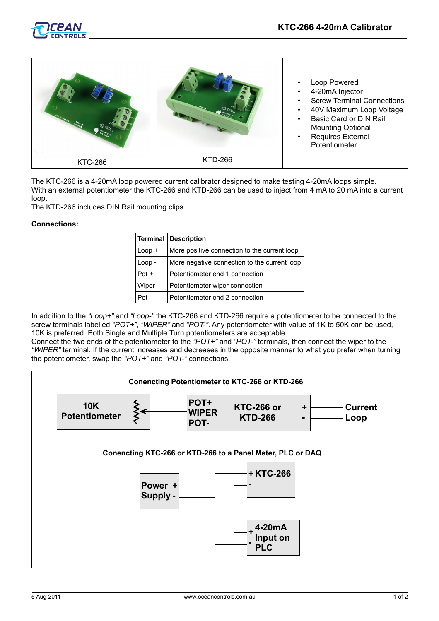

The KTC-266 is a 4-20mA loop powered current calibrator designed to make testing 4-20mA loops simple. With an external potentiometer the KTC-266 and KTD-266 can be used to inject from 4 mA to 20 mA into a current loop.

The KTD-266 includes DIN Rail mounting clips.

## **Connections:**

| Terminal | <b>Description</b>                           |
|----------|----------------------------------------------|
| $Loop +$ | More positive connection to the current loop |
| $Loop -$ | More negative connection to the current loop |
| $Pot +$  | Potentiometer end 1 connection               |
| Wiper    | Potentiometer wiper connection               |
| Pot -    | Potentiometer end 2 connection               |

In addition to the *"Loop+"* and *"Loop-"* the KTC-266 and KTD-266 require a potentiometer to be connected to the screw terminals labelled *"POT+"*, *"WIPER"* and *"POT-"*. Any potentiometer with value of 1K to 50K can be used, 10K is preferred. Both Single and Multiple Turn potentiometers are acceptable.

Connect the two ends of the potentiometer to the *"POT+"* and *"POT-"* terminals, then connect the wiper to the *"WIPER"* terminal. If the current increases and decreases in the opposite manner to what you prefer when turning the potentiometer, swap the *"POT+"* and *"POT-"* connections.